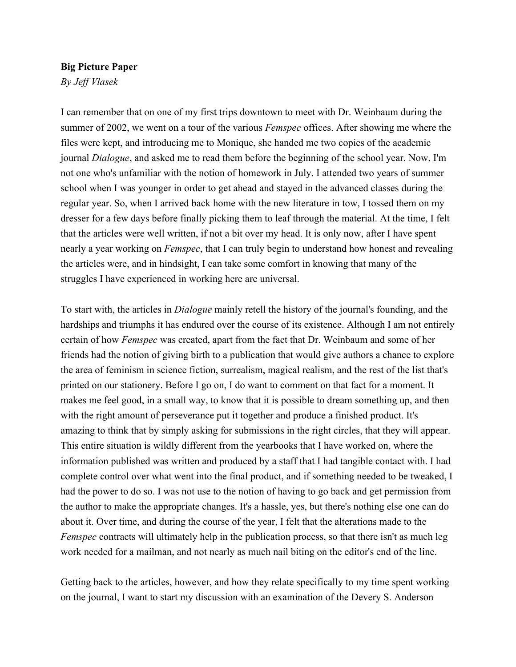## **Big Picture Paper**

*By Jeff Vlasek*

I can remember that on one of my first trips downtown to meet with Dr. Weinbaum during the summer of 2002, we went on a tour of the various *Femspec* offices. After showing me where the files were kept, and introducing me to Monique, she handed me two copies of the academic journal *Dialogue*, and asked me to read them before the beginning of the school year. Now, I'm not one who's unfamiliar with the notion of homework in July. I attended two years of summer school when I was younger in order to get ahead and stayed in the advanced classes during the regular year. So, when I arrived back home with the new literature in tow, I tossed them on my dresser for a few days before finally picking them to leaf through the material. At the time, I felt that the articles were well written, if not a bit over my head. It is only now, after I have spent nearly a year working on *Femspec*, that I can truly begin to understand how honest and revealing the articles were, and in hindsight, I can take some comfort in knowing that many of the struggles I have experienced in working here are universal.

To start with, the articles in *Dialogue* mainly retell the history of the journal's founding, and the hardships and triumphs it has endured over the course of its existence. Although I am not entirely certain of how *Femspec* was created, apart from the fact that Dr. Weinbaum and some of her friends had the notion of giving birth to a publication that would give authors a chance to explore the area of feminism in science fiction, surrealism, magical realism, and the rest of the list that's printed on our stationery. Before I go on, I do want to comment on that fact for a moment. It makes me feel good, in a small way, to know that it is possible to dream something up, and then with the right amount of perseverance put it together and produce a finished product. It's amazing to think that by simply asking for submissions in the right circles, that they will appear. This entire situation is wildly different from the yearbooks that I have worked on, where the information published was written and produced by a staff that I had tangible contact with. I had complete control over what went into the final product, and if something needed to be tweaked, I had the power to do so. I was not use to the notion of having to go back and get permission from the author to make the appropriate changes. It's a hassle, yes, but there's nothing else one can do about it. Over time, and during the course of the year, I felt that the alterations made to the *Femspec* contracts will ultimately help in the publication process, so that there isn't as much leg work needed for a mailman, and not nearly as much nail biting on the editor's end of the line.

Getting back to the articles, however, and how they relate specifically to my time spent working on the journal, I want to start my discussion with an examination of the Devery S. Anderson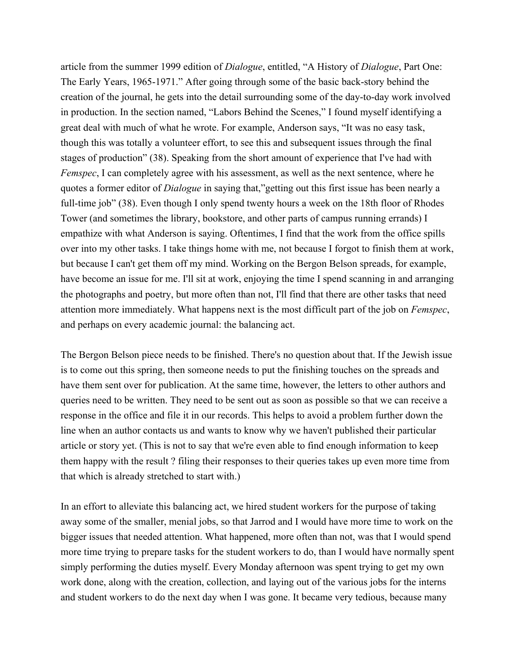article from the summer 1999 edition of *Dialogue*, entitled, "A History of *Dialogue*, Part One: The Early Years, 1965-1971." After going through some of the basic back-story behind the creation of the journal, he gets into the detail surrounding some of the day-to-day work involved in production. In the section named, "Labors Behind the Scenes," I found myself identifying a great deal with much of what he wrote. For example, Anderson says, "It was no easy task, though this was totally a volunteer effort, to see this and subsequent issues through the final stages of production" (38). Speaking from the short amount of experience that I've had with *Femspec*, I can completely agree with his assessment, as well as the next sentence, where he quotes a former editor of *Dialogue* in saying that,"getting out this first issue has been nearly a full-time job" (38). Even though I only spend twenty hours a week on the 18th floor of Rhodes Tower (and sometimes the library, bookstore, and other parts of campus running errands) I empathize with what Anderson is saying. Oftentimes, I find that the work from the office spills over into my other tasks. I take things home with me, not because I forgot to finish them at work, but because I can't get them off my mind. Working on the Bergon Belson spreads, for example, have become an issue for me. I'll sit at work, enjoying the time I spend scanning in and arranging the photographs and poetry, but more often than not, I'll find that there are other tasks that need attention more immediately. What happens next is the most difficult part of the job on *Femspec*, and perhaps on every academic journal: the balancing act.

The Bergon Belson piece needs to be finished. There's no question about that. If the Jewish issue is to come out this spring, then someone needs to put the finishing touches on the spreads and have them sent over for publication. At the same time, however, the letters to other authors and queries need to be written. They need to be sent out as soon as possible so that we can receive a response in the office and file it in our records. This helps to avoid a problem further down the line when an author contacts us and wants to know why we haven't published their particular article or story yet. (This is not to say that we're even able to find enough information to keep them happy with the result ? filing their responses to their queries takes up even more time from that which is already stretched to start with.)

In an effort to alleviate this balancing act, we hired student workers for the purpose of taking away some of the smaller, menial jobs, so that Jarrod and I would have more time to work on the bigger issues that needed attention. What happened, more often than not, was that I would spend more time trying to prepare tasks for the student workers to do, than I would have normally spent simply performing the duties myself. Every Monday afternoon was spent trying to get my own work done, along with the creation, collection, and laying out of the various jobs for the interns and student workers to do the next day when I was gone. It became very tedious, because many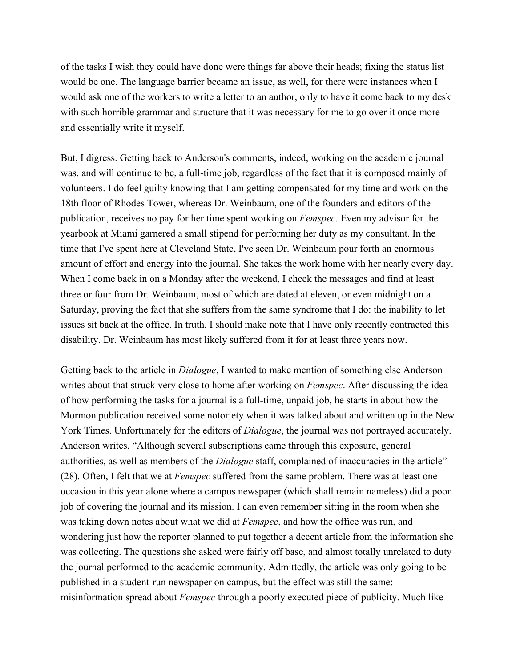of the tasks I wish they could have done were things far above their heads; fixing the status list would be one. The language barrier became an issue, as well, for there were instances when I would ask one of the workers to write a letter to an author, only to have it come back to my desk with such horrible grammar and structure that it was necessary for me to go over it once more and essentially write it myself.

But, I digress. Getting back to Anderson's comments, indeed, working on the academic journal was, and will continue to be, a full-time job, regardless of the fact that it is composed mainly of volunteers. I do feel guilty knowing that I am getting compensated for my time and work on the 18th floor of Rhodes Tower, whereas Dr. Weinbaum, one of the founders and editors of the publication, receives no pay for her time spent working on *Femspec*. Even my advisor for the yearbook at Miami garnered a small stipend for performing her duty as my consultant. In the time that I've spent here at Cleveland State, I've seen Dr. Weinbaum pour forth an enormous amount of effort and energy into the journal. She takes the work home with her nearly every day. When I come back in on a Monday after the weekend, I check the messages and find at least three or four from Dr. Weinbaum, most of which are dated at eleven, or even midnight on a Saturday, proving the fact that she suffers from the same syndrome that I do: the inability to let issues sit back at the office. In truth, I should make note that I have only recently contracted this disability. Dr. Weinbaum has most likely suffered from it for at least three years now.

Getting back to the article in *Dialogue*, I wanted to make mention of something else Anderson writes about that struck very close to home after working on *Femspec*. After discussing the idea of how performing the tasks for a journal is a full-time, unpaid job, he starts in about how the Mormon publication received some notoriety when it was talked about and written up in the New York Times. Unfortunately for the editors of *Dialogue*, the journal was not portrayed accurately. Anderson writes, "Although several subscriptions came through this exposure, general authorities, as well as members of the *Dialogue* staff, complained of inaccuracies in the article" (28). Often, I felt that we at *Femspec* suffered from the same problem. There was at least one occasion in this year alone where a campus newspaper (which shall remain nameless) did a poor job of covering the journal and its mission. I can even remember sitting in the room when she was taking down notes about what we did at *Femspec*, and how the office was run, and wondering just how the reporter planned to put together a decent article from the information she was collecting. The questions she asked were fairly off base, and almost totally unrelated to duty the journal performed to the academic community. Admittedly, the article was only going to be published in a student-run newspaper on campus, but the effect was still the same: misinformation spread about *Femspec* through a poorly executed piece of publicity. Much like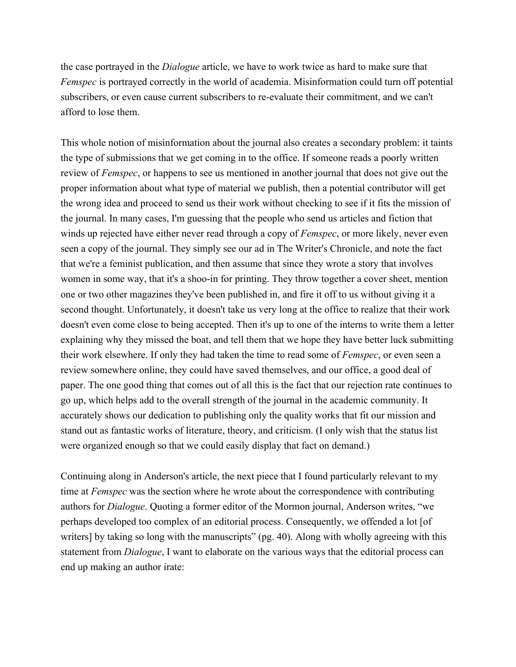the case portrayed in the *Dialogue* article, we have to work twice as hard to make sure that *Femspec* is portrayed correctly in the world of academia. Misinformation could turn off potential subscribers, or even cause current subscribers to re-evaluate their commitment, and we can't afford to lose them.

This whole notion of misinformation about the journal also creates a secondary problem: it taints the type of submissions that we get coming in to the office. If someone reads a poorly written review of *Femspec*, or happens to see us mentioned in another journal that does not give out the proper information about what type of material we publish, then a potential contributor will get the wrong idea and proceed to send us their work without checking to see if it fits the mission of the journal. In many cases, I'm guessing that the people who send us articles and fiction that winds up rejected have either never read through a copy of *Femspec*, or more likely, never even seen a copy of the journal. They simply see our ad in The Writer's Chronicle, and note the fact that we're a feminist publication, and then assume that since they wrote a story that involves women in some way, that it's a shoo-in for printing. They throw together a cover sheet, mention one or two other magazines they've been published in, and fire it off to us without giving it a second thought. Unfortunately, it doesn't take us very long at the office to realize that their work doesn't even come close to being accepted. Then it's up to one of the interns to write them a letter explaining why they missed the boat, and tell them that we hope they have better luck submitting their work elsewhere. If only they had taken the time to read some of *Femspec*, or even seen a review somewhere online, they could have saved themselves, and our office, a good deal of paper. The one good thing that comes out of all this is the fact that our rejection rate continues to go up, which helps add to the overall strength of the journal in the academic community. It accurately shows our dedication to publishing only the quality works that fit our mission and stand out as fantastic works of literature, theory, and criticism. (I only wish that the status list were organized enough so that we could easily display that fact on demand.)

Continuing along in Anderson's article, the next piece that I found particularly relevant to my time at *Femspec* was the section where he wrote about the correspondence with contributing authors for *Dialogue*. Quoting a former editor of the Mormon journal, Anderson writes, "we perhaps developed too complex of an editorial process. Consequently, we offended a lot [of writers] by taking so long with the manuscripts" (pg. 40). Along with wholly agreeing with this statement from *Dialogue*, I want to elaborate on the various ways that the editorial process can end up making an author irate: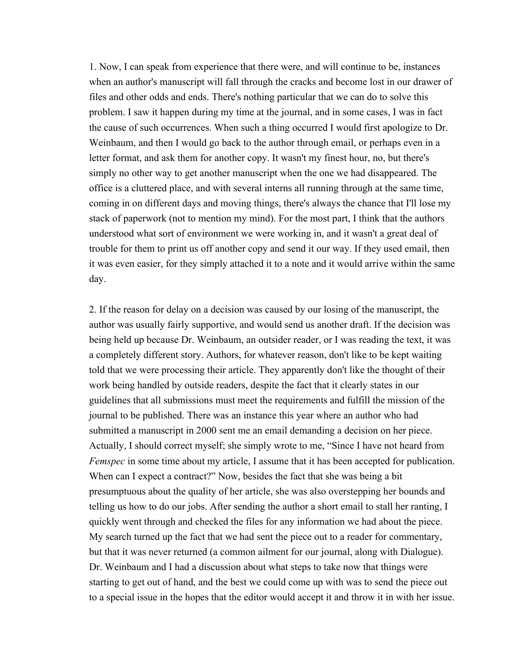1. Now, I can speak from experience that there were, and will continue to be, instances when an author's manuscript will fall through the cracks and become lost in our drawer of files and other odds and ends. There's nothing particular that we can do to solve this problem. I saw it happen during my time at the journal, and in some cases, I was in fact the cause of such occurrences. When such a thing occurred I would first apologize to Dr. Weinbaum, and then I would go back to the author through email, or perhaps even in a letter format, and ask them for another copy. It wasn't my finest hour, no, but there's simply no other way to get another manuscript when the one we had disappeared. The office is a cluttered place, and with several interns all running through at the same time, coming in on different days and moving things, there's always the chance that I'll lose my stack of paperwork (not to mention my mind). For the most part, I think that the authors understood what sort of environment we were working in, and it wasn't a great deal of trouble for them to print us off another copy and send it our way. If they used email, then it was even easier, for they simply attached it to a note and it would arrive within the same day.

2. If the reason for delay on a decision was caused by our losing of the manuscript, the author was usually fairly supportive, and would send us another draft. If the decision was being held up because Dr. Weinbaum, an outsider reader, or I was reading the text, it was a completely different story. Authors, for whatever reason, don't like to be kept waiting told that we were processing their article. They apparently don't like the thought of their work being handled by outside readers, despite the fact that it clearly states in our guidelines that all submissions must meet the requirements and fulfill the mission of the journal to be published. There was an instance this year where an author who had submitted a manuscript in 2000 sent me an email demanding a decision on her piece. Actually, I should correct myself; she simply wrote to me, "Since I have not heard from *Femspec* in some time about my article, I assume that it has been accepted for publication. When can I expect a contract?" Now, besides the fact that she was being a bit presumptuous about the quality of her article, she was also overstepping her bounds and telling us how to do our jobs. After sending the author a short email to stall her ranting, I quickly went through and checked the files for any information we had about the piece. My search turned up the fact that we had sent the piece out to a reader for commentary, but that it was never returned (a common ailment for our journal, along with Dialogue). Dr. Weinbaum and I had a discussion about what steps to take now that things were starting to get out of hand, and the best we could come up with was to send the piece out to a special issue in the hopes that the editor would accept it and throw it in with her issue.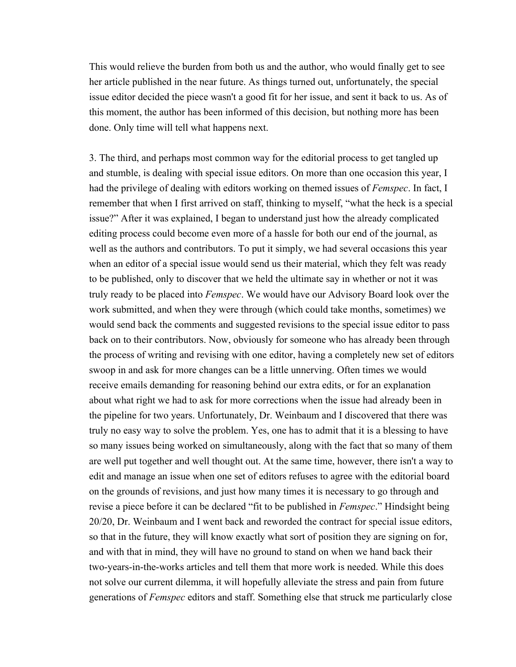This would relieve the burden from both us and the author, who would finally get to see her article published in the near future. As things turned out, unfortunately, the special issue editor decided the piece wasn't a good fit for her issue, and sent it back to us. As of this moment, the author has been informed of this decision, but nothing more has been done. Only time will tell what happens next.

3. The third, and perhaps most common way for the editorial process to get tangled up and stumble, is dealing with special issue editors. On more than one occasion this year, I had the privilege of dealing with editors working on themed issues of *Femspec*. In fact, I remember that when I first arrived on staff, thinking to myself, "what the heck is a special issue?" After it was explained, I began to understand just how the already complicated editing process could become even more of a hassle for both our end of the journal, as well as the authors and contributors. To put it simply, we had several occasions this year when an editor of a special issue would send us their material, which they felt was ready to be published, only to discover that we held the ultimate say in whether or not it was truly ready to be placed into *Femspec*. We would have our Advisory Board look over the work submitted, and when they were through (which could take months, sometimes) we would send back the comments and suggested revisions to the special issue editor to pass back on to their contributors. Now, obviously for someone who has already been through the process of writing and revising with one editor, having a completely new set of editors swoop in and ask for more changes can be a little unnerving. Often times we would receive emails demanding for reasoning behind our extra edits, or for an explanation about what right we had to ask for more corrections when the issue had already been in the pipeline for two years. Unfortunately, Dr. Weinbaum and I discovered that there was truly no easy way to solve the problem. Yes, one has to admit that it is a blessing to have so many issues being worked on simultaneously, along with the fact that so many of them are well put together and well thought out. At the same time, however, there isn't a way to edit and manage an issue when one set of editors refuses to agree with the editorial board on the grounds of revisions, and just how many times it is necessary to go through and revise a piece before it can be declared "fit to be published in *Femspec*." Hindsight being 20/20, Dr. Weinbaum and I went back and reworded the contract for special issue editors, so that in the future, they will know exactly what sort of position they are signing on for, and with that in mind, they will have no ground to stand on when we hand back their two-years-in-the-works articles and tell them that more work is needed. While this does not solve our current dilemma, it will hopefully alleviate the stress and pain from future generations of *Femspec* editors and staff. Something else that struck me particularly close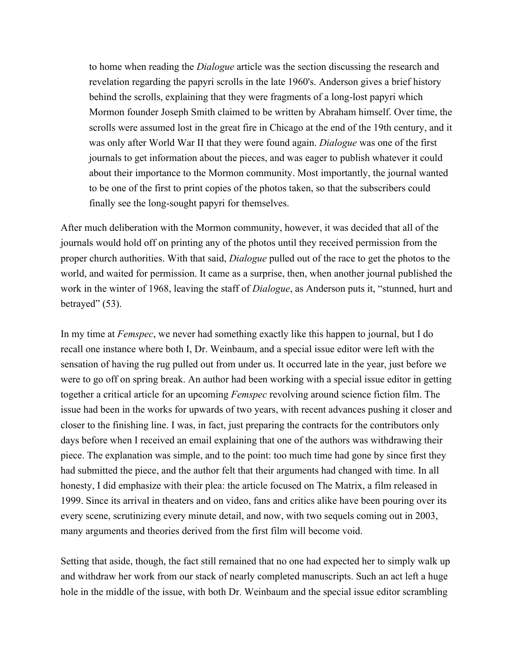to home when reading the *Dialogue* article was the section discussing the research and revelation regarding the papyri scrolls in the late 1960's. Anderson gives a brief history behind the scrolls, explaining that they were fragments of a long-lost papyri which Mormon founder Joseph Smith claimed to be written by Abraham himself. Over time, the scrolls were assumed lost in the great fire in Chicago at the end of the 19th century, and it was only after World War II that they were found again. *Dialogue* was one of the first journals to get information about the pieces, and was eager to publish whatever it could about their importance to the Mormon community. Most importantly, the journal wanted to be one of the first to print copies of the photos taken, so that the subscribers could finally see the long-sought papyri for themselves.

After much deliberation with the Mormon community, however, it was decided that all of the journals would hold off on printing any of the photos until they received permission from the proper church authorities. With that said, *Dialogue* pulled out of the race to get the photos to the world, and waited for permission. It came as a surprise, then, when another journal published the work in the winter of 1968, leaving the staff of *Dialogue*, as Anderson puts it, "stunned, hurt and betrayed" (53).

In my time at *Femspec*, we never had something exactly like this happen to journal, but I do recall one instance where both I, Dr. Weinbaum, and a special issue editor were left with the sensation of having the rug pulled out from under us. It occurred late in the year, just before we were to go off on spring break. An author had been working with a special issue editor in getting together a critical article for an upcoming *Femspec* revolving around science fiction film. The issue had been in the works for upwards of two years, with recent advances pushing it closer and closer to the finishing line. I was, in fact, just preparing the contracts for the contributors only days before when I received an email explaining that one of the authors was withdrawing their piece. The explanation was simple, and to the point: too much time had gone by since first they had submitted the piece, and the author felt that their arguments had changed with time. In all honesty, I did emphasize with their plea: the article focused on The Matrix, a film released in 1999. Since its arrival in theaters and on video, fans and critics alike have been pouring over its every scene, scrutinizing every minute detail, and now, with two sequels coming out in 2003, many arguments and theories derived from the first film will become void.

Setting that aside, though, the fact still remained that no one had expected her to simply walk up and withdraw her work from our stack of nearly completed manuscripts. Such an act left a huge hole in the middle of the issue, with both Dr. Weinbaum and the special issue editor scrambling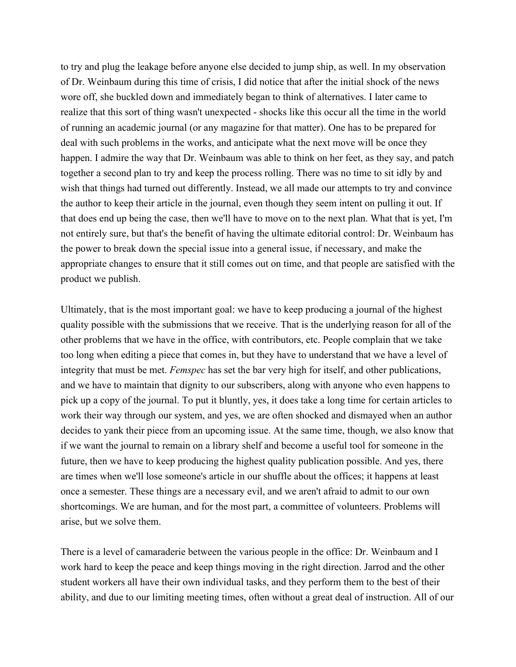to try and plug the leakage before anyone else decided to jump ship, as well. In my observation of Dr. Weinbaum during this time of crisis, I did notice that after the initial shock of the news wore off, she buckled down and immediately began to think of alternatives. I later came to realize that this sort of thing wasn't unexpected - shocks like this occur all the time in the world of running an academic journal (or any magazine for that matter). One has to be prepared for deal with such problems in the works, and anticipate what the next move will be once they happen. I admire the way that Dr. Weinbaum was able to think on her feet, as they say, and patch together a second plan to try and keep the process rolling. There was no time to sit idly by and wish that things had turned out differently. Instead, we all made our attempts to try and convince the author to keep their article in the journal, even though they seem intent on pulling it out. If that does end up being the case, then we'll have to move on to the next plan. What that is yet, I'm not entirely sure, but that's the benefit of having the ultimate editorial control: Dr. Weinbaum has the power to break down the special issue into a general issue, if necessary, and make the appropriate changes to ensure that it still comes out on time, and that people are satisfied with the product we publish.

Ultimately, that is the most important goal: we have to keep producing a journal of the highest quality possible with the submissions that we receive. That is the underlying reason for all of the other problems that we have in the office, with contributors, etc. People complain that we take too long when editing a piece that comes in, but they have to understand that we have a level of integrity that must be met. *Femspec* has set the bar very high for itself, and other publications, and we have to maintain that dignity to our subscribers, along with anyone who even happens to pick up a copy of the journal. To put it bluntly, yes, it does take a long time for certain articles to work their way through our system, and yes, we are often shocked and dismayed when an author decides to yank their piece from an upcoming issue. At the same time, though, we also know that if we want the journal to remain on a library shelf and become a useful tool for someone in the future, then we have to keep producing the highest quality publication possible. And yes, there are times when we'll lose someone's article in our shuffle about the offices; it happens at least once a semester. These things are a necessary evil, and we aren't afraid to admit to our own shortcomings. We are human, and for the most part, a committee of volunteers. Problems will arise, but we solve them.

There is a level of camaraderie between the various people in the office: Dr. Weinbaum and I work hard to keep the peace and keep things moving in the right direction. Jarrod and the other student workers all have their own individual tasks, and they perform them to the best of their ability, and due to our limiting meeting times, often without a great deal of instruction. All of our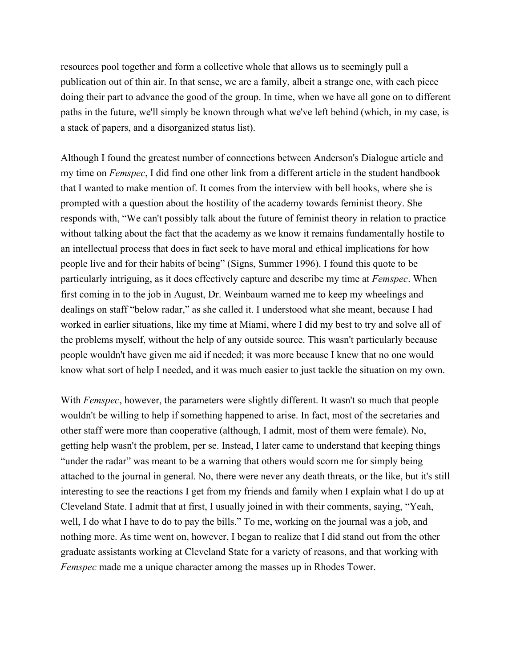resources pool together and form a collective whole that allows us to seemingly pull a publication out of thin air. In that sense, we are a family, albeit a strange one, with each piece doing their part to advance the good of the group. In time, when we have all gone on to different paths in the future, we'll simply be known through what we've left behind (which, in my case, is a stack of papers, and a disorganized status list).

Although I found the greatest number of connections between Anderson's Dialogue article and my time on *Femspec*, I did find one other link from a different article in the student handbook that I wanted to make mention of. It comes from the interview with bell hooks, where she is prompted with a question about the hostility of the academy towards feminist theory. She responds with, "We can't possibly talk about the future of feminist theory in relation to practice without talking about the fact that the academy as we know it remains fundamentally hostile to an intellectual process that does in fact seek to have moral and ethical implications for how people live and for their habits of being" (Signs, Summer 1996). I found this quote to be particularly intriguing, as it does effectively capture and describe my time at *Femspec*. When first coming in to the job in August, Dr. Weinbaum warned me to keep my wheelings and dealings on staff "below radar," as she called it. I understood what she meant, because I had worked in earlier situations, like my time at Miami, where I did my best to try and solve all of the problems myself, without the help of any outside source. This wasn't particularly because people wouldn't have given me aid if needed; it was more because I knew that no one would know what sort of help I needed, and it was much easier to just tackle the situation on my own.

With *Femspec*, however, the parameters were slightly different. It wasn't so much that people wouldn't be willing to help if something happened to arise. In fact, most of the secretaries and other staff were more than cooperative (although, I admit, most of them were female). No, getting help wasn't the problem, per se. Instead, I later came to understand that keeping things "under the radar" was meant to be a warning that others would scorn me for simply being attached to the journal in general. No, there were never any death threats, or the like, but it's still interesting to see the reactions I get from my friends and family when I explain what I do up at Cleveland State. I admit that at first, I usually joined in with their comments, saying, "Yeah, well, I do what I have to do to pay the bills." To me, working on the journal was a job, and nothing more. As time went on, however, I began to realize that I did stand out from the other graduate assistants working at Cleveland State for a variety of reasons, and that working with *Femspec* made me a unique character among the masses up in Rhodes Tower.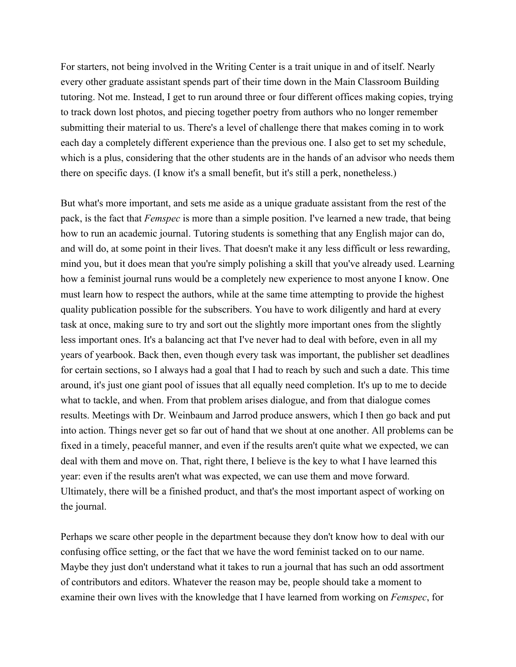For starters, not being involved in the Writing Center is a trait unique in and of itself. Nearly every other graduate assistant spends part of their time down in the Main Classroom Building tutoring. Not me. Instead, I get to run around three or four different offices making copies, trying to track down lost photos, and piecing together poetry from authors who no longer remember submitting their material to us. There's a level of challenge there that makes coming in to work each day a completely different experience than the previous one. I also get to set my schedule, which is a plus, considering that the other students are in the hands of an advisor who needs them there on specific days. (I know it's a small benefit, but it's still a perk, nonetheless.)

But what's more important, and sets me aside as a unique graduate assistant from the rest of the pack, is the fact that *Femspec* is more than a simple position. I've learned a new trade, that being how to run an academic journal. Tutoring students is something that any English major can do, and will do, at some point in their lives. That doesn't make it any less difficult or less rewarding, mind you, but it does mean that you're simply polishing a skill that you've already used. Learning how a feminist journal runs would be a completely new experience to most anyone I know. One must learn how to respect the authors, while at the same time attempting to provide the highest quality publication possible for the subscribers. You have to work diligently and hard at every task at once, making sure to try and sort out the slightly more important ones from the slightly less important ones. It's a balancing act that I've never had to deal with before, even in all my years of yearbook. Back then, even though every task was important, the publisher set deadlines for certain sections, so I always had a goal that I had to reach by such and such a date. This time around, it's just one giant pool of issues that all equally need completion. It's up to me to decide what to tackle, and when. From that problem arises dialogue, and from that dialogue comes results. Meetings with Dr. Weinbaum and Jarrod produce answers, which I then go back and put into action. Things never get so far out of hand that we shout at one another. All problems can be fixed in a timely, peaceful manner, and even if the results aren't quite what we expected, we can deal with them and move on. That, right there, I believe is the key to what I have learned this year: even if the results aren't what was expected, we can use them and move forward. Ultimately, there will be a finished product, and that's the most important aspect of working on the journal.

Perhaps we scare other people in the department because they don't know how to deal with our confusing office setting, or the fact that we have the word feminist tacked on to our name. Maybe they just don't understand what it takes to run a journal that has such an odd assortment of contributors and editors. Whatever the reason may be, people should take a moment to examine their own lives with the knowledge that I have learned from working on *Femspec*, for